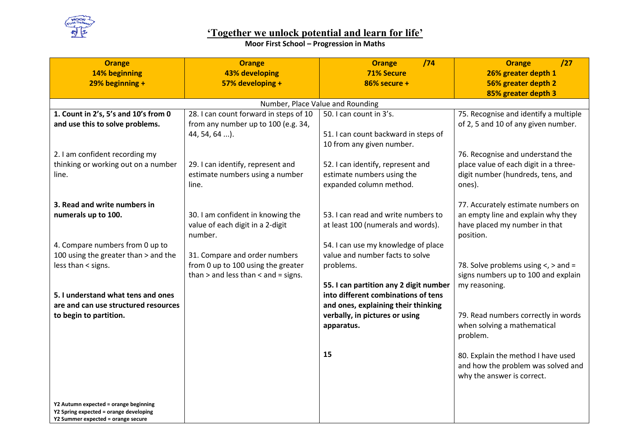

## **Moor First School – Progression in Maths**

| <b>Orange</b>                                                                | <b>Orange</b>                                                         | /74<br><b>Orange</b>                   | <b>Orange</b><br>/27                                                |
|------------------------------------------------------------------------------|-----------------------------------------------------------------------|----------------------------------------|---------------------------------------------------------------------|
| 14% beginning                                                                | <b>43% developing</b>                                                 | <b>71% Secure</b>                      | 26% greater depth 1                                                 |
| $29%$ beginning +                                                            | 57% developing +                                                      | 86% secure +                           | 56% greater depth 2                                                 |
|                                                                              |                                                                       |                                        | 85% greater depth 3                                                 |
|                                                                              |                                                                       | Number, Place Value and Rounding       |                                                                     |
| 1. Count in 2's, 5's and 10's from 0                                         | 28. I can count forward in steps of 10                                | 50. I can count in 3's.                | 75. Recognise and identify a multiple                               |
| and use this to solve problems.                                              | from any number up to 100 (e.g. 34,                                   |                                        | of 2, 5 and 10 of any given number.                                 |
|                                                                              | 44, 54, 64 ).                                                         | 51. I can count backward in steps of   |                                                                     |
|                                                                              |                                                                       | 10 from any given number.              |                                                                     |
| 2. I am confident recording my                                               |                                                                       |                                        | 76. Recognise and understand the                                    |
| thinking or working out on a number                                          | 29. I can identify, represent and                                     | 52. I can identify, represent and      | place value of each digit in a three-                               |
| line.                                                                        | estimate numbers using a number                                       | estimate numbers using the             | digit number (hundreds, tens, and                                   |
|                                                                              | line.                                                                 | expanded column method.                | ones).                                                              |
|                                                                              |                                                                       |                                        |                                                                     |
| 3. Read and write numbers in                                                 |                                                                       | 53. I can read and write numbers to    | 77. Accurately estimate numbers on                                  |
| numerals up to 100.                                                          | 30. I am confident in knowing the<br>value of each digit in a 2-digit | at least 100 (numerals and words).     | an empty line and explain why they<br>have placed my number in that |
|                                                                              | number.                                                               |                                        | position.                                                           |
| 4. Compare numbers from 0 up to                                              |                                                                       | 54. I can use my knowledge of place    |                                                                     |
| 100 using the greater than > and the                                         | 31. Compare and order numbers                                         | value and number facts to solve        |                                                                     |
| less than < signs.                                                           | from 0 up to 100 using the greater                                    | problems.                              | 78. Solve problems using $\lt$ , $>$ and =                          |
|                                                                              | than $>$ and less than $<$ and $=$ signs.                             |                                        | signs numbers up to 100 and explain                                 |
|                                                                              |                                                                       | 55. I can partition any 2 digit number | my reasoning.                                                       |
| 5. I understand what tens and ones                                           |                                                                       | into different combinations of tens    |                                                                     |
| are and can use structured resources                                         |                                                                       | and ones, explaining their thinking    |                                                                     |
| to begin to partition.                                                       |                                                                       | verbally, in pictures or using         | 79. Read numbers correctly in words                                 |
|                                                                              |                                                                       | apparatus.                             | when solving a mathematical                                         |
|                                                                              |                                                                       |                                        | problem.                                                            |
|                                                                              |                                                                       |                                        |                                                                     |
|                                                                              |                                                                       | 15                                     | 80. Explain the method I have used                                  |
|                                                                              |                                                                       |                                        | and how the problem was solved and                                  |
|                                                                              |                                                                       |                                        | why the answer is correct.                                          |
|                                                                              |                                                                       |                                        |                                                                     |
|                                                                              |                                                                       |                                        |                                                                     |
| Y2 Autumn expected = orange beginning                                        |                                                                       |                                        |                                                                     |
| Y2 Spring expected = orange developing<br>Y2 Summer expected = orange secure |                                                                       |                                        |                                                                     |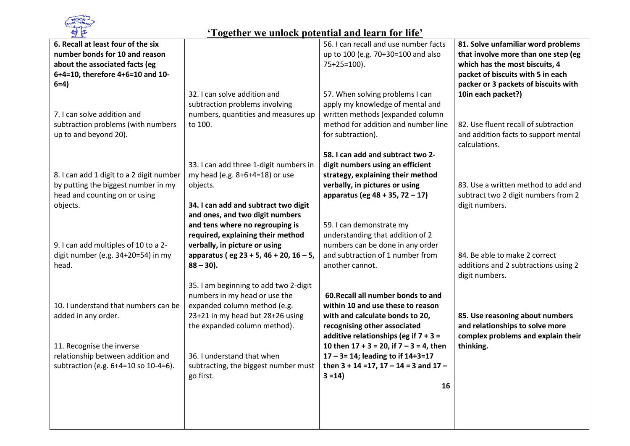

| 6. Recall at least four of the six<br>number bonds for 10 and reason            |                                                                        | 56. I can recall and use number facts<br>up to 100 (e.g. 70+30=100 and also              | 81. Solve unfamiliar word problems<br>that involve more than one step (eg |
|---------------------------------------------------------------------------------|------------------------------------------------------------------------|------------------------------------------------------------------------------------------|---------------------------------------------------------------------------|
| about the associated facts (eg                                                  |                                                                        | $75+25=100$ ).                                                                           | which has the most biscuits, 4                                            |
| 6+4=10, therefore 4+6=10 and 10-                                                |                                                                        |                                                                                          | packet of biscuits with 5 in each                                         |
| $6=4$                                                                           |                                                                        |                                                                                          | packer or 3 packets of biscuits with                                      |
|                                                                                 | 32. I can solve addition and<br>subtraction problems involving         | 57. When solving problems I can<br>apply my knowledge of mental and                      | 10in each packet?)                                                        |
| 7. I can solve addition and                                                     | numbers, quantities and measures up                                    | written methods (expanded column                                                         |                                                                           |
| subtraction problems (with numbers                                              | to 100.                                                                | method for addition and number line                                                      | 82. Use fluent recall of subtraction                                      |
| up to and beyond 20).                                                           |                                                                        | for subtraction).                                                                        | and addition facts to support mental<br>calculations.                     |
|                                                                                 |                                                                        | 58. I can add and subtract two 2-                                                        |                                                                           |
|                                                                                 | 33. I can add three 1-digit numbers in                                 | digit numbers using an efficient                                                         |                                                                           |
| 8. I can add 1 digit to a 2 digit number<br>by putting the biggest number in my | my head (e.g. 8+6+4=18) or use<br>objects.                             | strategy, explaining their method<br>verbally, in pictures or using                      | 83. Use a written method to add and                                       |
| head and counting on or using                                                   |                                                                        | apparatus (eg 48 + 35, 72 - 17)                                                          | subtract two 2 digit numbers from 2                                       |
| objects.                                                                        | 34. I can add and subtract two digit                                   |                                                                                          | digit numbers.                                                            |
|                                                                                 | and ones, and two digit numbers                                        |                                                                                          |                                                                           |
|                                                                                 | and tens where no regrouping is                                        | 59. I can demonstrate my                                                                 |                                                                           |
| 9. I can add multiples of 10 to a 2-                                            | required, explaining their method<br>verbally, in picture or using     | understanding that addition of 2<br>numbers can be done in any order                     |                                                                           |
| digit number (e.g. 34+20=54) in my                                              | apparatus (eg 23 + 5, 46 + 20, 16 - 5,                                 | and subtraction of 1 number from                                                         | 84. Be able to make 2 correct                                             |
| head.                                                                           | $88 - 30$ ).                                                           | another cannot.                                                                          | additions and 2 subtractions using 2                                      |
|                                                                                 |                                                                        |                                                                                          | digit numbers.                                                            |
|                                                                                 | 35. I am beginning to add two 2-digit<br>numbers in my head or use the | 60. Recall all number bonds to and                                                       |                                                                           |
| 10. I understand that numbers can be                                            | expanded column method (e.g.                                           | within 10 and use these to reason                                                        |                                                                           |
| added in any order.                                                             | 23+21 in my head but 28+26 using                                       | with and calculate bonds to 20,                                                          | 85. Use reasoning about numbers                                           |
|                                                                                 | the expanded column method).                                           | recognising other associated                                                             | and relationships to solve more                                           |
|                                                                                 |                                                                        | additive relationships (eg if $7 + 3 =$                                                  | complex problems and explain their                                        |
| 11. Recognise the inverse<br>relationship between addition and                  | 36. I understand that when                                             | 10 then $17 + 3 = 20$ , if $7 - 3 = 4$ , then<br>$17 - 3 = 14$ ; leading to if $14+3=17$ | thinking.                                                                 |
| subtraction (e.g. 6+4=10 so 10-4=6).                                            | subtracting, the biggest number must                                   | then $3 + 14 = 17$ , $17 - 14 = 3$ and $17 -$                                            |                                                                           |
|                                                                                 | go first.                                                              | $3 = 14$                                                                                 |                                                                           |
|                                                                                 |                                                                        | 16                                                                                       |                                                                           |
|                                                                                 |                                                                        |                                                                                          |                                                                           |
|                                                                                 |                                                                        |                                                                                          |                                                                           |
|                                                                                 |                                                                        |                                                                                          |                                                                           |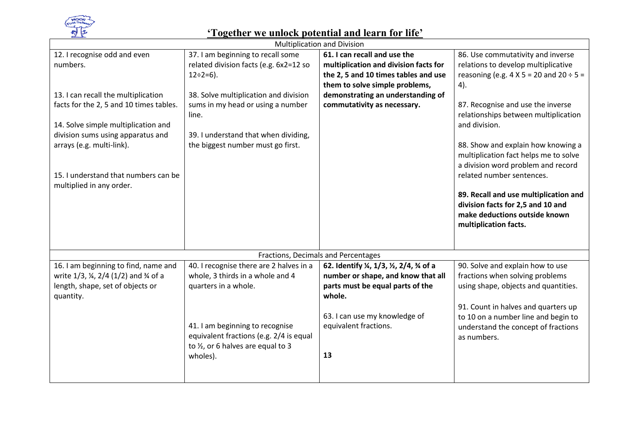

| <b>Multiplication and Division</b>                                                                                                                                                                                                                                                                      |                                                                                                                                                                                                                                                                       |                                                                                                                                                                                                                     |                                                                                                                                                                                                                                                                                                                                                                                                                                                                                                       |  |
|---------------------------------------------------------------------------------------------------------------------------------------------------------------------------------------------------------------------------------------------------------------------------------------------------------|-----------------------------------------------------------------------------------------------------------------------------------------------------------------------------------------------------------------------------------------------------------------------|---------------------------------------------------------------------------------------------------------------------------------------------------------------------------------------------------------------------|-------------------------------------------------------------------------------------------------------------------------------------------------------------------------------------------------------------------------------------------------------------------------------------------------------------------------------------------------------------------------------------------------------------------------------------------------------------------------------------------------------|--|
| 12. I recognise odd and even<br>numbers.<br>13. I can recall the multiplication<br>facts for the 2, 5 and 10 times tables.<br>14. Solve simple multiplication and<br>division sums using apparatus and<br>arrays (e.g. multi-link).<br>15. I understand that numbers can be<br>multiplied in any order. | 37. I am beginning to recall some<br>related division facts (e.g. 6x2=12 so<br>$12 \div 2 = 6$ ).<br>38. Solve multiplication and division<br>sums in my head or using a number<br>line.<br>39. I understand that when dividing,<br>the biggest number must go first. | 61. I can recall and use the<br>multiplication and division facts for<br>the 2, 5 and 10 times tables and use<br>them to solve simple problems,<br>demonstrating an understanding of<br>commutativity as necessary. | 86. Use commutativity and inverse<br>relations to develop multiplicative<br>reasoning (e.g. $4 \times 5 = 20$ and $20 \div 5 =$<br>4).<br>87. Recognise and use the inverse<br>relationships between multiplication<br>and division.<br>88. Show and explain how knowing a<br>multiplication fact helps me to solve<br>a division word problem and record<br>related number sentences.<br>89. Recall and use multiplication and<br>division facts for 2,5 and 10 and<br>make deductions outside known |  |
|                                                                                                                                                                                                                                                                                                         |                                                                                                                                                                                                                                                                       |                                                                                                                                                                                                                     | multiplication facts.                                                                                                                                                                                                                                                                                                                                                                                                                                                                                 |  |
|                                                                                                                                                                                                                                                                                                         |                                                                                                                                                                                                                                                                       | Fractions, Decimals and Percentages                                                                                                                                                                                 |                                                                                                                                                                                                                                                                                                                                                                                                                                                                                                       |  |
| 16. I am beginning to find, name and<br>write 1/3, ¼, 2/4 (1/2) and ¾ of a<br>length, shape, set of objects or<br>quantity.                                                                                                                                                                             | 40. I recognise there are 2 halves in a<br>whole, 3 thirds in a whole and 4<br>quarters in a whole.<br>41. I am beginning to recognise<br>equivalent fractions (e.g. 2/4 is equal<br>to 1/2, or 6 halves are equal to 3<br>wholes).                                   | 62. Identify ¼, 1/3, ½, 2/4, ¾ of a<br>number or shape, and know that all<br>parts must be equal parts of the<br>whole.<br>63. I can use my knowledge of<br>equivalent fractions.<br>13                             | 90. Solve and explain how to use<br>fractions when solving problems<br>using shape, objects and quantities.<br>91. Count in halves and quarters up<br>to 10 on a number line and begin to<br>understand the concept of fractions<br>as numbers.                                                                                                                                                                                                                                                       |  |
|                                                                                                                                                                                                                                                                                                         |                                                                                                                                                                                                                                                                       |                                                                                                                                                                                                                     |                                                                                                                                                                                                                                                                                                                                                                                                                                                                                                       |  |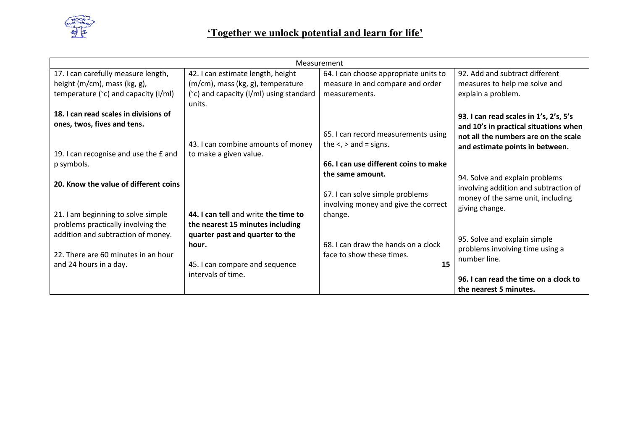

| Measurement                              |                                         |                                       |                                        |
|------------------------------------------|-----------------------------------------|---------------------------------------|----------------------------------------|
| 17. I can carefully measure length,      | 42. I can estimate length, height       | 64. I can choose appropriate units to | 92. Add and subtract different         |
| height $(m/cm)$ , mass $(kg, g)$ ,       | (m/cm), mass (kg, g), temperature       | measure in and compare and order      | measures to help me solve and          |
| temperature $(°c)$ and capacity $( /ml)$ | (°c) and capacity (I/mI) using standard | measurements.                         | explain a problem.                     |
|                                          | units.                                  |                                       |                                        |
| 18. I can read scales in divisions of    |                                         |                                       | 93. I can read scales in 1's, 2's, 5's |
| ones, twos, fives and tens.              |                                         |                                       | and 10's in practical situations when  |
|                                          |                                         | 65. I can record measurements using   | not all the numbers are on the scale   |
|                                          | 43. I can combine amounts of money      | the $\lt$ , $>$ and = signs.          | and estimate points in between.        |
| 19. I can recognise and use the £ and    | to make a given value.                  |                                       |                                        |
| p symbols.                               |                                         | 66. I can use different coins to make |                                        |
|                                          |                                         | the same amount.                      | 94. Solve and explain problems         |
| 20. Know the value of different coins    |                                         |                                       | involving addition and subtraction of  |
|                                          |                                         | 67. I can solve simple problems       | money of the same unit, including      |
|                                          |                                         | involving money and give the correct  | giving change.                         |
| 21. I am beginning to solve simple       | 44. I can tell and write the time to    | change.                               |                                        |
| problems practically involving the       | the nearest 15 minutes including        |                                       |                                        |
| addition and subtraction of money.       | quarter past and quarter to the         |                                       | 95. Solve and explain simple           |
|                                          | hour.                                   | 68. I can draw the hands on a clock   | problems involving time using a        |
| 22. There are 60 minutes in an hour      |                                         | face to show these times.             | number line.                           |
| and 24 hours in a day.                   | 45. I can compare and sequence          | 15                                    |                                        |
|                                          | intervals of time.                      |                                       | 96. I can read the time on a clock to  |
|                                          |                                         |                                       | the nearest 5 minutes.                 |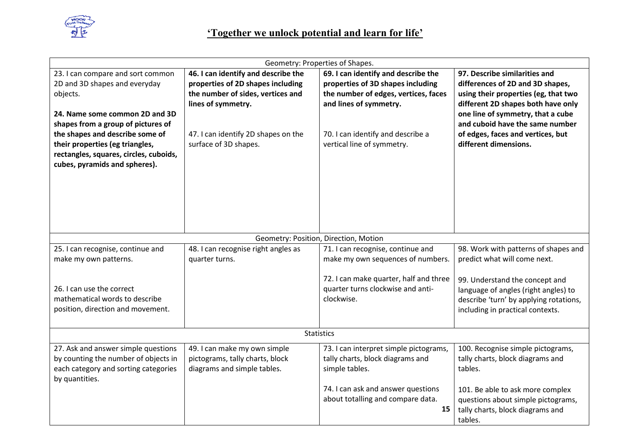

|                                                                                                                                                                                                                                                                                                         |                                                                                                                                                                                                     | Geometry: Properties of Shapes.                                                                                                                                                                               |                                                                                                                                                                                                                                                                                       |
|---------------------------------------------------------------------------------------------------------------------------------------------------------------------------------------------------------------------------------------------------------------------------------------------------------|-----------------------------------------------------------------------------------------------------------------------------------------------------------------------------------------------------|---------------------------------------------------------------------------------------------------------------------------------------------------------------------------------------------------------------|---------------------------------------------------------------------------------------------------------------------------------------------------------------------------------------------------------------------------------------------------------------------------------------|
| 23. I can compare and sort common<br>2D and 3D shapes and everyday<br>objects.<br>24. Name some common 2D and 3D<br>shapes from a group of pictures of<br>the shapes and describe some of<br>their properties (eg triangles,<br>rectangles, squares, circles, cuboids,<br>cubes, pyramids and spheres). | 46. I can identify and describe the<br>properties of 2D shapes including<br>the number of sides, vertices and<br>lines of symmetry.<br>47. I can identify 2D shapes on the<br>surface of 3D shapes. | 69. I can identify and describe the<br>properties of 3D shapes including<br>the number of edges, vertices, faces<br>and lines of symmetry.<br>70. I can identify and describe a<br>vertical line of symmetry. | 97. Describe similarities and<br>differences of 2D and 3D shapes,<br>using their properties (eg, that two<br>different 2D shapes both have only<br>one line of symmetry, that a cube<br>and cuboid have the same number<br>of edges, faces and vertices, but<br>different dimensions. |
|                                                                                                                                                                                                                                                                                                         |                                                                                                                                                                                                     | Geometry: Position, Direction, Motion                                                                                                                                                                         |                                                                                                                                                                                                                                                                                       |
| 25. I can recognise, continue and<br>make my own patterns.<br>26. I can use the correct                                                                                                                                                                                                                 | 48. I can recognise right angles as<br>quarter turns.                                                                                                                                               | 71. I can recognise, continue and<br>make my own sequences of numbers.<br>72. I can make quarter, half and three<br>quarter turns clockwise and anti-                                                         | 98. Work with patterns of shapes and<br>predict what will come next.<br>99. Understand the concept and<br>language of angles (right angles) to                                                                                                                                        |
| mathematical words to describe<br>position, direction and movement.                                                                                                                                                                                                                                     |                                                                                                                                                                                                     | clockwise.                                                                                                                                                                                                    | describe 'turn' by applying rotations,<br>including in practical contexts.                                                                                                                                                                                                            |
| <b>Statistics</b>                                                                                                                                                                                                                                                                                       |                                                                                                                                                                                                     |                                                                                                                                                                                                               |                                                                                                                                                                                                                                                                                       |
| 27. Ask and answer simple questions<br>by counting the number of objects in<br>each category and sorting categories<br>by quantities.                                                                                                                                                                   | 49. I can make my own simple<br>pictograms, tally charts, block<br>diagrams and simple tables.                                                                                                      | 73. I can interpret simple pictograms,<br>tally charts, block diagrams and<br>simple tables.                                                                                                                  | 100. Recognise simple pictograms,<br>tally charts, block diagrams and<br>tables.                                                                                                                                                                                                      |
|                                                                                                                                                                                                                                                                                                         |                                                                                                                                                                                                     | 74. I can ask and answer questions<br>about totalling and compare data.<br>15                                                                                                                                 | 101. Be able to ask more complex<br>questions about simple pictograms,<br>tally charts, block diagrams and<br>tables.                                                                                                                                                                 |